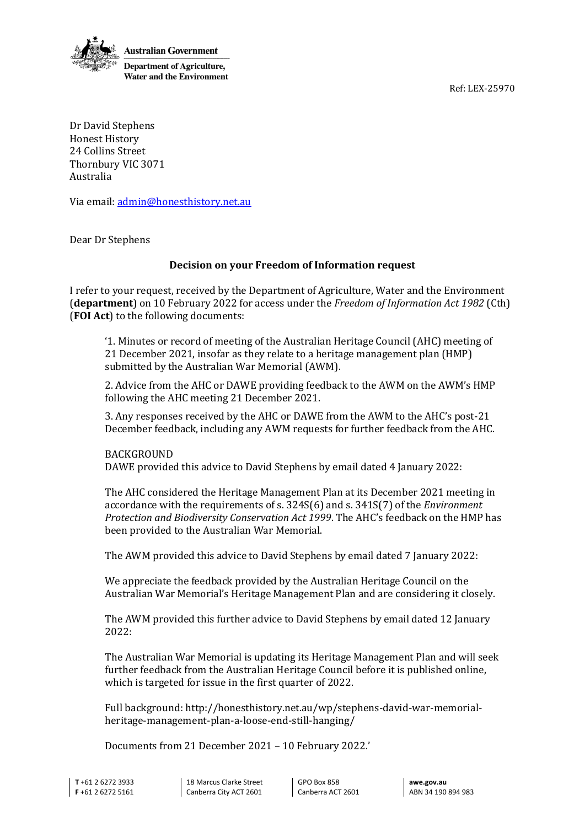Ref: LEX-25970



Dr David Stephens Honest History 24 Collins Street Thornbury VIC 3071 Australia

Via email[: admin@honesthistory.net.au](mailto:admin@honesthistory.net.au) 

Dear Dr Stephens

### **Decision on your Freedom of Information request**

I refer to your request, received by the Department of Agriculture, Water and the Environment (**department**) on 10 February 2022 for access under the *Freedom of Information Act 1982* (Cth) (**FOI Act**) to the following documents:

'1. Minutes or record of meeting of the Australian Heritage Council (AHC) meeting of 21 December 2021, insofar as they relate to a heritage management plan (HMP) submitted by the Australian War Memorial (AWM).

2. Advice from the AHC or DAWE providing feedback to the AWM on the AWM's HMP following the AHC meeting 21 December 2021.

3. Any responses received by the AHC or DAWE from the AWM to the AHC's post-21 December feedback, including any AWM requests for further feedback from the AHC.

BACKGROUND DAWE provided this advice to David Stephens by email dated 4 January 2022:

The AHC considered the Heritage Management Plan at its December 2021 meeting in accordance with the requirements of s. 324S(6) and s. 341S(7) of the *Environment Protection and Biodiversity Conservation Act 1999*. The AHC's feedback on the HMP has been provided to the Australian War Memorial.

The AWM provided this advice to David Stephens by email dated 7 January 2022:

We appreciate the feedback provided by the Australian Heritage Council on the Australian War Memorial's Heritage Management Plan and are considering it closely.

The AWM provided this further advice to David Stephens by email dated 12 January 2022:

The Australian War Memorial is updating its Heritage Management Plan and will seek further feedback from the Australian Heritage Council before it is published online, which is targeted for issue in the first quarter of 2022.

Full background: http://honesthistory.net.au/wp/stephens-david-war-memorialheritage-management-plan-a-loose-end-still-hanging/

Documents from 21 December 2021 – 10 February 2022.'

**T** +61 2 6272 3933 **F** +61 2 6272 5161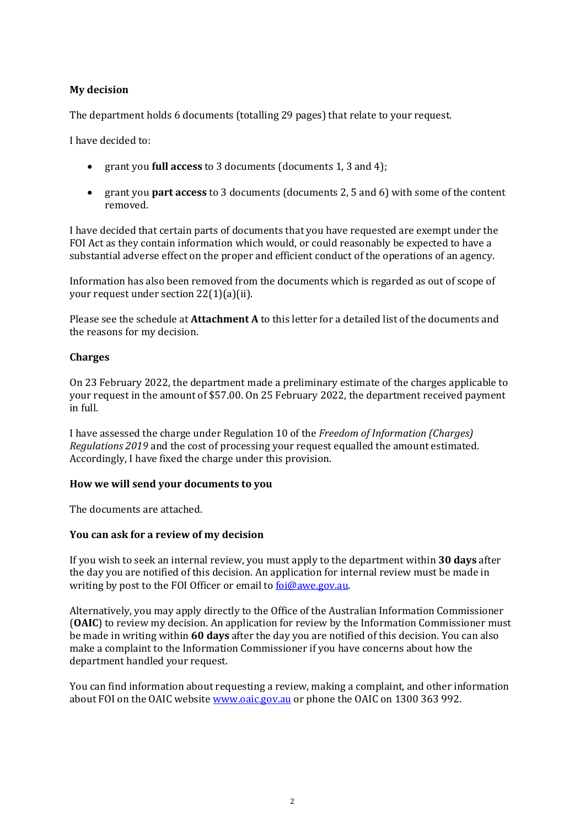### **My decision**

The department holds 6 documents (totalling 29 pages) that relate to your request.

I have decided to:

- grant you **full access** to 3 documents (documents 1, 3 and 4);
- grant you **part access** to 3 documents (documents 2, 5 and 6) with some of the content removed.

I have decided that certain parts of documents that you have requested are exempt under the FOI Act as they contain information which would, or could reasonably be expected to have a substantial adverse effect on the proper and efficient conduct of the operations of an agency.

Information has also been removed from the documents which is regarded as out of scope of your request under section 22(1)(a)(ii).

Please see the schedule at **Attachment A** to this letter for a detailed list of the documents and the reasons for my decision.

### **Charges**

On 23 February 2022, the department made a preliminary estimate of the charges applicable to your request in the amount of \$57.00. On 25 February 2022, the department received payment in full.

I have assessed the charge under Regulation 10 of the *Freedom of Information (Charges) Regulations 2019* and the cost of processing your request equalled the amount estimated. Accordingly, I have fixed the charge under this provision.

### **How we will send your documents to you**

The documents are attached.

### **You can ask for a review of my decision**

If you wish to seek an internal review, you must apply to the department within **30 days** after the day you are notified of this decision. An application for internal review must be made in writing by post to the FOI Officer or email to **foi@awe.gov.au**.

Alternatively, you may apply directly to the Office of the Australian Information Commissioner (**OAIC**) to review my decision. An application for review by the Information Commissioner must be made in writing within **60 days** after the day you are notified of this decision. You can also make a complaint to the Information Commissioner if you have concerns about how the department handled your request.

You can find information about requesting a review, making a complaint, and other information about FOI on the OAIC website [www.oaic.gov.au](http://www.oaic.gov.au/) or phone the OAIC on 1300 363 992.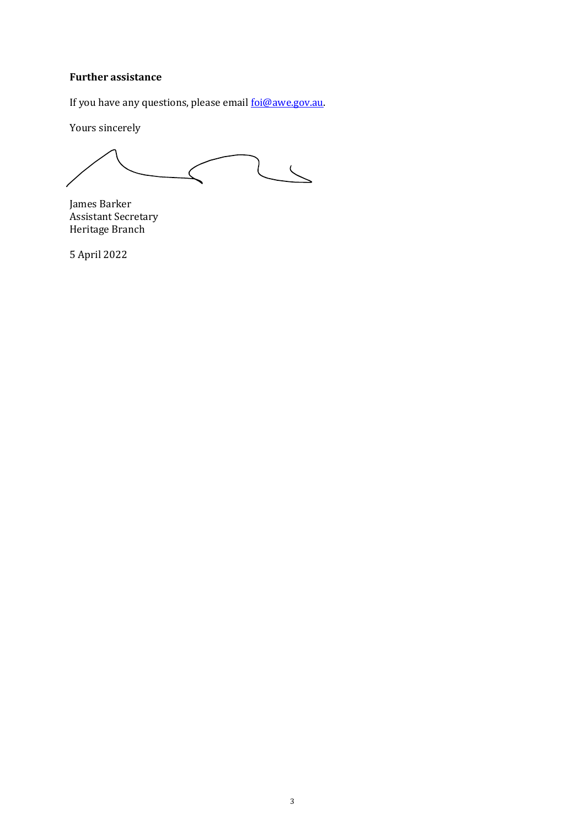### **Further assistance**

If you have any questions, please email foi@awe.gov.au.

Yours sincerely

 $\overline{\mathbf{C}}$ 

James Barker Assistant Secretary Heritage Branch

5 April 2022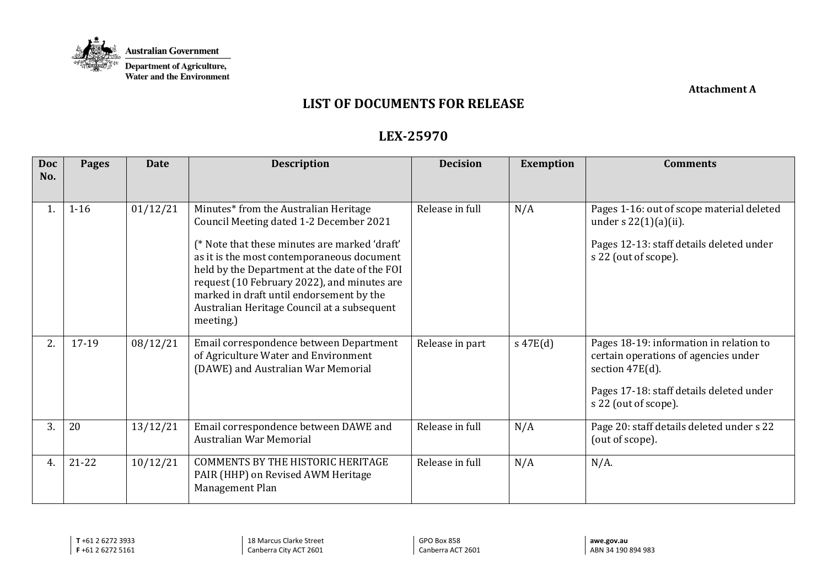

**Attachment A** 

# **LIST OF DOCUMENTS FOR RELEASE**

# **LEX-25970**

| <b>Doc</b> | <b>Pages</b> | <b>Date</b> | <b>Description</b>                                                                                                                                                                                                                                                                                                                                                                      | <b>Decision</b> | <b>Exemption</b> | <b>Comments</b>                                                                                                                                                        |
|------------|--------------|-------------|-----------------------------------------------------------------------------------------------------------------------------------------------------------------------------------------------------------------------------------------------------------------------------------------------------------------------------------------------------------------------------------------|-----------------|------------------|------------------------------------------------------------------------------------------------------------------------------------------------------------------------|
| No.        |              |             |                                                                                                                                                                                                                                                                                                                                                                                         |                 |                  |                                                                                                                                                                        |
| 1.         | $1 - 16$     | 01/12/21    | Minutes* from the Australian Heritage<br>Council Meeting dated 1-2 December 2021<br>(* Note that these minutes are marked 'draft'<br>as it is the most contemporaneous document<br>held by the Department at the date of the FOI<br>request (10 February 2022), and minutes are<br>marked in draft until endorsement by the<br>Australian Heritage Council at a subsequent<br>meeting.) | Release in full | N/A              | Pages 1-16: out of scope material deleted<br>under s $22(1)(a)(ii)$ .<br>Pages 12-13: staff details deleted under<br>s 22 (out of scope).                              |
| 2.         | 17-19        | 08/12/21    | Email correspondence between Department<br>of Agriculture Water and Environment<br>(DAWE) and Australian War Memorial                                                                                                                                                                                                                                                                   | Release in part | $s$ 47E(d)       | Pages 18-19: information in relation to<br>certain operations of agencies under<br>section 47E(d).<br>Pages 17-18: staff details deleted under<br>s 22 (out of scope). |
| 3.         | 20           | 13/12/21    | Email correspondence between DAWE and<br>Australian War Memorial                                                                                                                                                                                                                                                                                                                        | Release in full | N/A              | Page 20: staff details deleted under s 22<br>(out of scope).                                                                                                           |
| 4.         | $21 - 22$    | 10/12/21    | <b>COMMENTS BY THE HISTORIC HERITAGE</b><br>PAIR (HHP) on Revised AWM Heritage<br>Management Plan                                                                                                                                                                                                                                                                                       | Release in full | N/A              | $N/A$ .                                                                                                                                                                |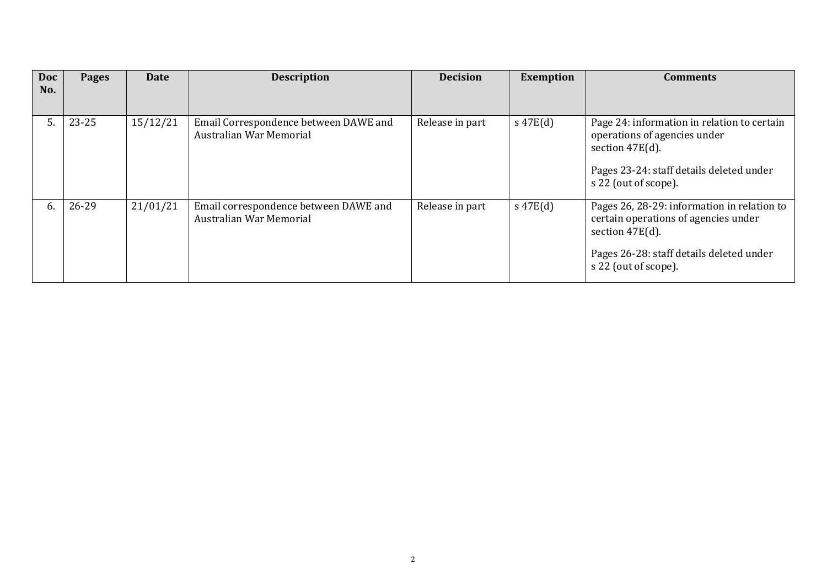| <b>Doc</b> | Pages     | Date     | <b>Description</b>                                               | <b>Decision</b> | <b>Exemption</b> | Comments                                                                                                                                                                      |
|------------|-----------|----------|------------------------------------------------------------------|-----------------|------------------|-------------------------------------------------------------------------------------------------------------------------------------------------------------------------------|
| No.        |           |          |                                                                  |                 |                  |                                                                                                                                                                               |
| 5.         | $23 - 25$ | 15/12/21 | Email Correspondence between DAWE and<br>Australian War Memorial | Release in part | $s\ 47E(d)$      | Page 24: information in relation to certain<br>operations of agencies under<br>section $47E(d)$ .<br>Pages 23-24: staff details deleted under<br>s 22 (out of scope).         |
| 6.         | 26-29     | 21/01/21 | Email correspondence between DAWE and<br>Australian War Memorial | Release in part | $s\ 47E(d)$      | Pages 26, 28-29: information in relation to<br>certain operations of agencies under<br>section $47E(d)$ .<br>Pages 26-28: staff details deleted under<br>s 22 (out of scope). |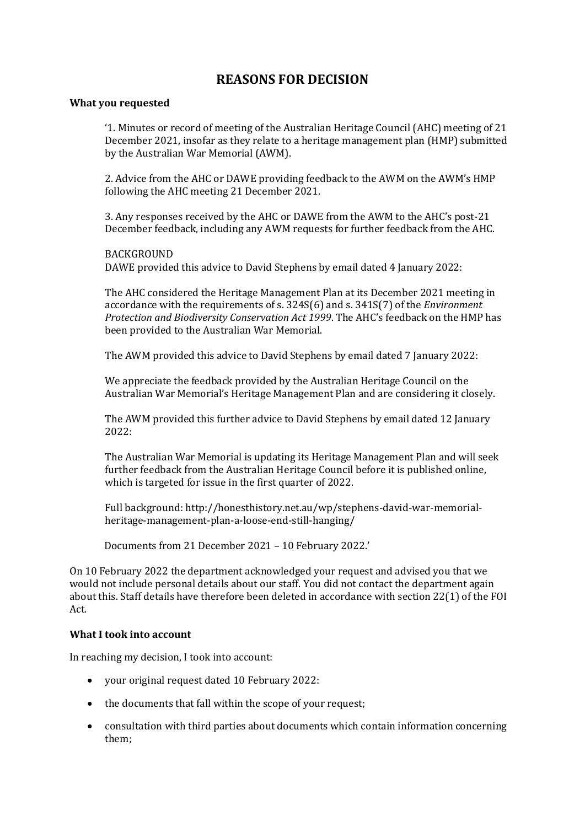## **REASONS FOR DECISION**

### **What you requested**

'1. Minutes or record of meeting of the Australian Heritage Council (AHC) meeting of 21 December 2021, insofar as they relate to a heritage management plan (HMP) submitted by the Australian War Memorial (AWM).

2. Advice from the AHC or DAWE providing feedback to the AWM on the AWM's HMP following the AHC meeting 21 December 2021.

3. Any responses received by the AHC or DAWE from the AWM to the AHC's post-21 December feedback, including any AWM requests for further feedback from the AHC.

**BACKGROUND** DAWE provided this advice to David Stephens by email dated 4 January 2022:

The AHC considered the Heritage Management Plan at its December 2021 meeting in accordance with the requirements of s. 324S(6) and s. 341S(7) of the *Environment Protection and Biodiversity Conservation Act 1999*. The AHC's feedback on the HMP has been provided to the Australian War Memorial.

The AWM provided this advice to David Stephens by email dated 7 January 2022:

We appreciate the feedback provided by the Australian Heritage Council on the Australian War Memorial's Heritage Management Plan and are considering it closely.

The AWM provided this further advice to David Stephens by email dated 12 January 2022:

The Australian War Memorial is updating its Heritage Management Plan and will seek further feedback from the Australian Heritage Council before it is published online, which is targeted for issue in the first quarter of 2022.

Full background: http://honesthistory.net.au/wp/stephens-david-war-memorialheritage-management-plan-a-loose-end-still-hanging/

Documents from 21 December 2021 – 10 February 2022.'

On 10 February 2022 the department acknowledged your request and advised you that we would not include personal details about our staff. You did not contact the department again about this. Staff details have therefore been deleted in accordance with section 22(1) of the FOI Act.

#### **What I took into account**

In reaching my decision, I took into account:

- your original request dated 10 February 2022:
- the documents that fall within the scope of your request;
- consultation with third parties about documents which contain information concerning them;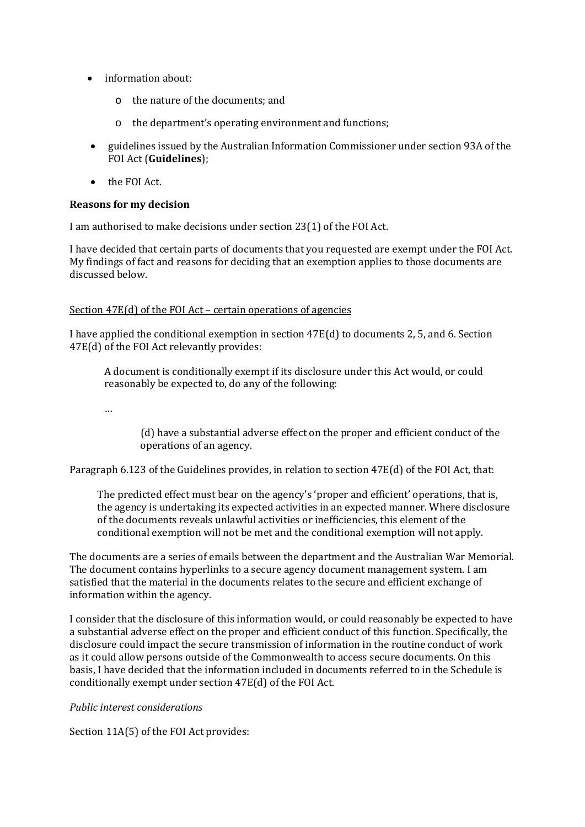- information about:
	- o the nature of the documents; and
	- o the department's operating environment and functions;
- guidelines issued by the Australian Information Commissioner under section 93A of the FOI Act (**Guidelines**);
- the FOI Act.

### **Reasons for my decision**

I am authorised to make decisions under section 23(1) of the FOI Act.

I have decided that certain parts of documents that you requested are exempt under the FOI Act. My findings of fact and reasons for deciding that an exemption applies to those documents are discussed below.

#### Section 47E(d) of the FOI Act – certain operations of agencies

I have applied the conditional exemption in section 47E(d) to documents 2, 5, and 6. Section 47E(d) of the FOI Act relevantly provides:

A document is conditionally exempt if its disclosure under this Act would, or could reasonably be expected to, do any of the following:

…

(d) have a substantial adverse effect on the proper and efficient conduct of the operations of an agency.

Paragraph 6.123 of the Guidelines provides, in relation to section 47E(d) of the FOI Act, that:

The predicted effect must bear on the agency's 'proper and efficient' operations, that is, the agency is undertaking its expected activities in an expected manner. Where disclosure of the documents reveals unlawful activities or inefficiencies, this element of the conditional exemption will not be met and the conditional exemption will not apply.

The documents are a series of emails between the department and the Australian War Memorial. The document contains hyperlinks to a secure agency document management system. I am satisfied that the material in the documents relates to the secure and efficient exchange of information within the agency.

I consider that the disclosure of this information would, or could reasonably be expected to have a substantial adverse effect on the proper and efficient conduct of this function. Specifically, the disclosure could impact the secure transmission of information in the routine conduct of work as it could allow persons outside of the Commonwealth to access secure documents. On this basis, I have decided that the information included in documents referred to in the Schedule is conditionally exempt under section 47E(d) of the FOI Act.

*Public interest considerations* 

Section 11A(5) of the FOI Act provides: